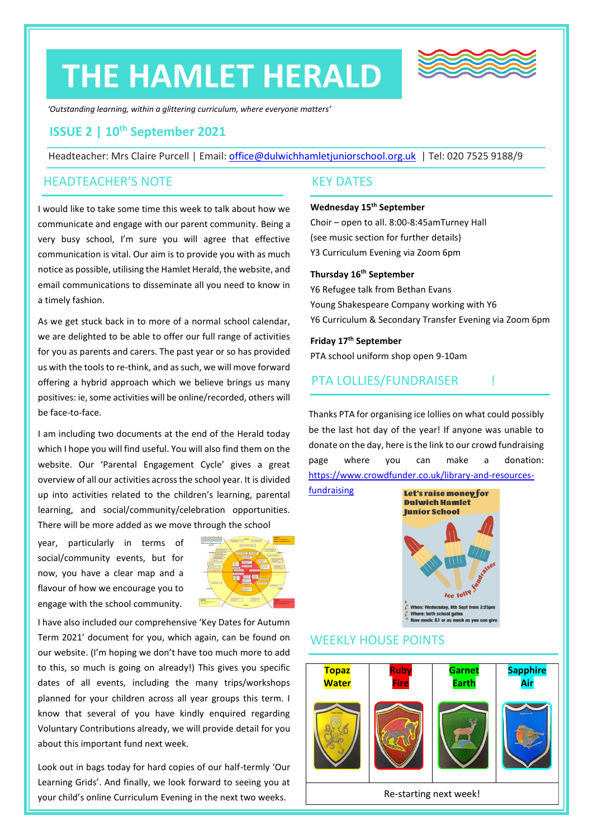# **THE HAMLET HERALD**



*'Outstanding learning, within a glittering curriculum, where everyone matters'*

## **ISSUE 2 | 10th September 2021**

Headteacher: Mrs Claire Purcell | Email: [office@dulwichhamletjuniorschool.org.uk](mailto:office@dulwichhamletjuniorschool.org.uk) | Tel: 020 7525 9188/9

#### HEADTEACHER'S NOTE

I would like to take some time this week to talk about how we communicate and engage with our parent community. Being a very busy school, I'm sure you will agree that effective communication is vital. Our aim is to provide you with as much notice as possible, utilising the Hamlet Herald, the website, and email communications to disseminate all you need to know in a timely fashion.

As we get stuck back in to more of a normal school calendar, we are delighted to be able to offer our full range of activities for you as parents and carers. The past year or so has provided us with the tools to re-think, and as such, we will move forward offering a hybrid approach which we believe brings us many positives: ie, some activities will be online/recorded, others will be face-to-face.

I am including two documents at the end of the Herald today which I hope you will find useful. You will also find them on the website. Our 'Parental Engagement Cycle' gives a great overview of all our activities across the school year. It is divided up into activities related to the children's learning, parental learning, and social/community/celebration opportunities. There will be more added as we move through the school

year, particularly in terms of social/community events, but for now, you have a clear map and a flavour of how we encourage you to engage with the school community.



I have also included our comprehensive 'Key Dates for Autumn Term 2021' document for you, which again, can be found on our website. (I'm hoping we don't have too much more to add to this, so much is going on already!) This gives you specific dates of all events, including the many trips/workshops planned for your children across all year groups this term. I know that several of you have kindly enquired regarding Voluntary Contributions already, we will provide detail for you about this important fund next week.

Look out in bags today for hard copies of our half-termly 'Our Learning Grids'. And finally, we look forward to seeing you at your child's online Curriculum Evening in the next two weeks.

#### KEY DATES

#### **Wednesday 15th September**

Choir – open to all. 8:00-8:45amTurney Hall (see music section for further details) Y3 Curriculum Evening via Zoom 6pm

#### **Thursday 16th September**

Y6 Refugee talk from Bethan Evans Young Shakespeare Company working with Y6 Y6 Curriculum & Secondary Transfer Evening via Zoom 6pm

#### **Friday 17 th September**

PTA school uniform shop open 9-10am

### PTA LOLLIES/FUNDRAISER !

Thanks PTA for organising ice lollies on what could possibly be the last hot day of the year! If anyone was unable to donate on the day, here is the link to our crowd fundraising page where you can make a donation: [https://www.crowdfunder.co.uk/library-and-resources-](https://www.crowdfunder.co.uk/library-and-resources-fundraising)

[fundraising](https://www.crowdfunder.co.uk/library-and-resources-fundraising)



## WEEKLY HOUSE POINTS

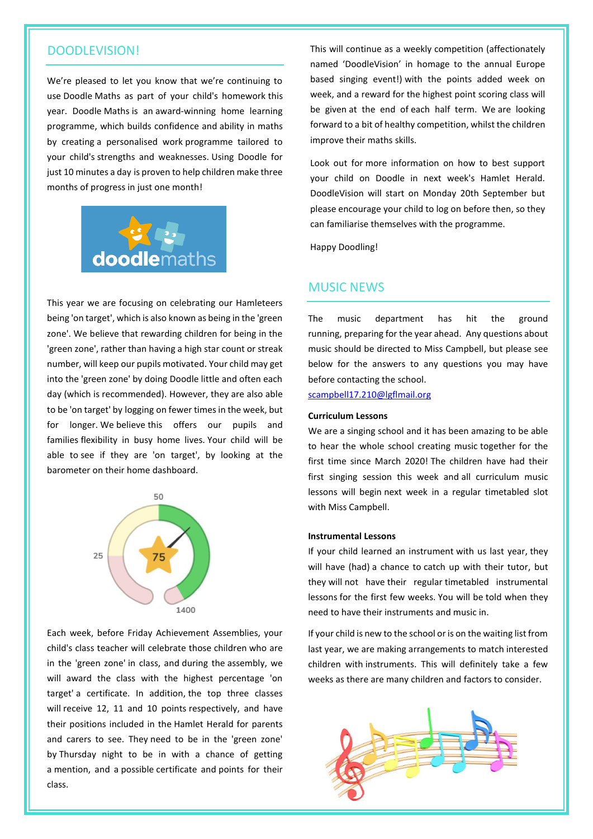## DOODLEVISION!

We're pleased to let you know that we're continuing to use Doodle Maths as part of your child's homework this year. Doodle Maths is an award-winning home learning programme, which builds confidence and ability in maths by creating a personalised work programme tailored to your child's strengths and weaknesses. Using Doodle for just 10 minutes a day is proven to help children make three months of progress in just one month!



This year we are focusing on celebrating our Hamleteers being 'on target', which is also known as being in the 'green zone'. We believe that rewarding children for being in the 'green zone', rather than having a high star count or streak number, will keep our pupils motivated. Your child may get into the 'green zone' by doing Doodle little and often each day (which is recommended). However, they are also able to be 'on target' by logging on fewer times in the week, but for longer. We believe this offers our pupils and families flexibility in busy home lives. Your child will be able to see if they are 'on target', by looking at the barometer on their home dashboard.



Each week, before Friday Achievement Assemblies, your child's class teacher will celebrate those children who are in the 'green zone' in class, and during the assembly, we will award the class with the highest percentage 'on target' a certificate. In addition, the top three classes will receive 12, 11 and 10 points respectively, and have their positions included in the Hamlet Herald for parents and carers to see. They need to be in the 'green zone' by Thursday night to be in with a chance of getting a mention, and a possible certificate and points for their class.

This will continue as a weekly competition (affectionately named 'DoodleVision' in homage to the annual Europe based singing event!) with the points added week on week, and a reward for the highest point scoring class will be given at the end of each half term. We are looking forward to a bit of healthy competition, whilst the children improve their maths skills.

Look out for more information on how to best support your child on Doodle in next week's Hamlet Herald. DoodleVision will start on Monday 20th September but please encourage your child to log on before then, so they can familiarise themselves with the programme.

Happy Doodling!

#### MUSIC NEWS

The music department has hit the ground running, preparing for the year ahead. Any questions about music should be directed to Miss Campbell, but please see below for the answers to any questions you may have before contacting the school.

[scampbell17.210@lgflmail.org](mailto:scampbell17.210@lgflmail.org)

#### **Curriculum Lessons**

We are a singing school and it has been amazing to be able to hear the whole school creating music together for the first time since March 2020! The children have had their first singing session this week and all curriculum music lessons will begin next week in a regular timetabled slot with Miss Campbell.

#### **Instrumental Lessons**

If your child learned an instrument with us last year, they will have (had) a chance to catch up with their tutor, but they will not have their regular timetabled instrumental lessons for the first few weeks. You will be told when they need to have their instruments and music in.

If your child is new to the school or is on the waiting list from last year, we are making arrangements to match interested children with instruments. This will definitely take a few weeks as there are many children and factors to consider.

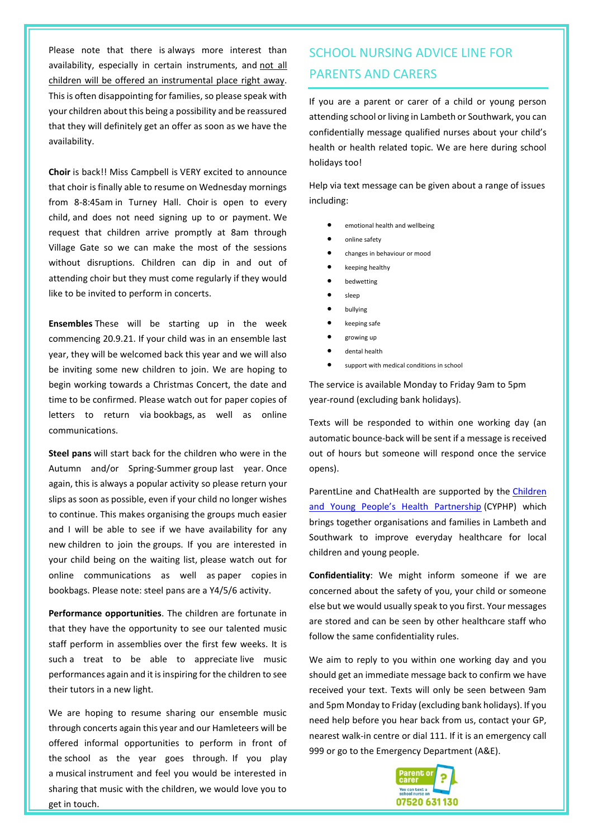Please note that there is always more interest than availability, especially in certain instruments, and not all children will be offered an instrumental place right away. This is often disappointing for families, so please speak with your children about this being a possibility and be reassured that they will definitely get an offer as soon as we have the availability.

**Choir** is back!! Miss Campbell is VERY excited to announce that choir is finally able to resume on Wednesday mornings from 8-8:45am in Turney Hall. Choir is open to every child, and does not need signing up to or payment. We request that children arrive promptly at 8am through Village Gate so we can make the most of the sessions without disruptions. Children can dip in and out of attending choir but they must come regularly if they would like to be invited to perform in concerts.

**Ensembles** These will be starting up in the week commencing 20.9.21. If your child was in an ensemble last year, they will be welcomed back this year and we will also be inviting some new children to join. We are hoping to begin working towards a Christmas Concert, the date and time to be confirmed. Please watch out for paper copies of letters to return via bookbags, as well as online communications.

**Steel pans** will start back for the children who were in the Autumn and/or Spring-Summer group last year. Once again, this is always a popular activity so please return your slips as soon as possible, even if your child no longer wishes to continue. This makes organising the groups much easier and I will be able to see if we have availability for any new children to join the groups. If you are interested in your child being on the waiting list, please watch out for online communications as well as paper copies in bookbags. Please note: steel pans are a Y4/5/6 activity.

**Performance opportunities**. The children are fortunate in that they have the opportunity to see our talented music staff perform in assemblies over the first few weeks. It is such a treat to be able to appreciate live music performances again and it is inspiring for the children to see their tutors in a new light.

We are hoping to resume sharing our ensemble music through concerts again this year and our Hamleteers will be offered informal opportunities to perform in front of the school as the year goes through. If you play a musical instrument and feel you would be interested in sharing that music with the children, we would love you to get in touch.

# SCHOOL NURSING ADVICE LINE FOR PARENTS AND CARERS

If you are a parent or carer of a child or young person attending school or living in Lambeth or Southwark, you can confidentially message qualified nurses about your child's health or health related topic. We are here during school holidays too!

Help via text message can be given about a range of issues including:

- emotional health and wellbeing
- online safety
- changes in behaviour or mood
- keeping healthy
- bedwetting
- sleep
- bullying
- keeping safe
- growing up
- dental health
- support with medical conditions in school

The service is available Monday to Friday 9am to 5pm year-round (excluding bank holidays).

Texts will be responded to within one working day (an automatic bounce-back will be sent if a message is received out of hours but someone will respond once the service opens).

ParentLine and ChatHealth are supported by the [Children](http://www.cyphp.org/)  [and Young People's Health Partnership](http://www.cyphp.org/) (CYPHP) which brings together organisations and families in Lambeth and Southwark to improve everyday healthcare for local children and young people.

**Confidentiality**: We might inform someone if we are concerned about the safety of you, your child or someone else but we would usually speak to you first. Your messages are stored and can be seen by other healthcare staff who follow the same confidentiality rules.

We aim to reply to you within one working day and you should get an immediate message back to confirm we have received your text. Texts will only be seen between 9am and 5pm Monday to Friday (excluding bank holidays). If you need help before you hear back from us, contact your GP, nearest walk-in centre or dial 111. If it is an emergency call 999 or go to the Emergency Department (A&E).

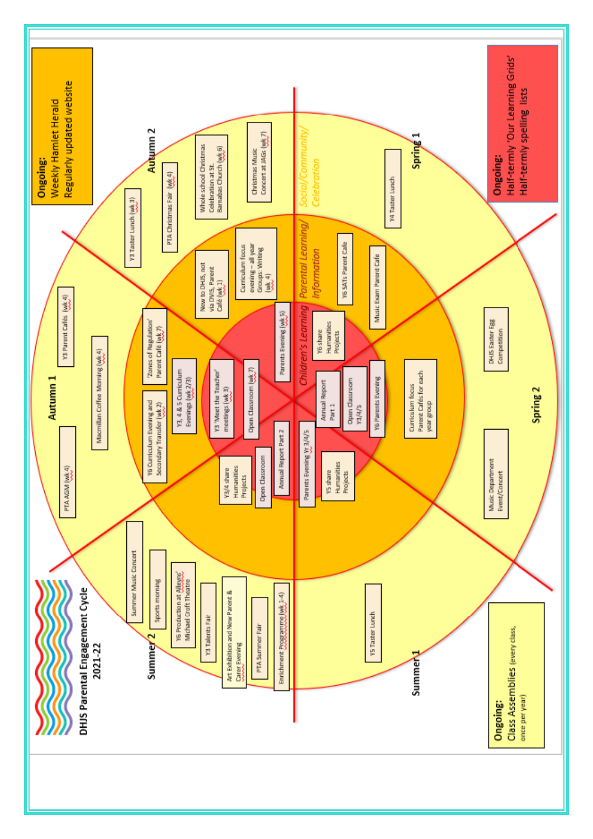